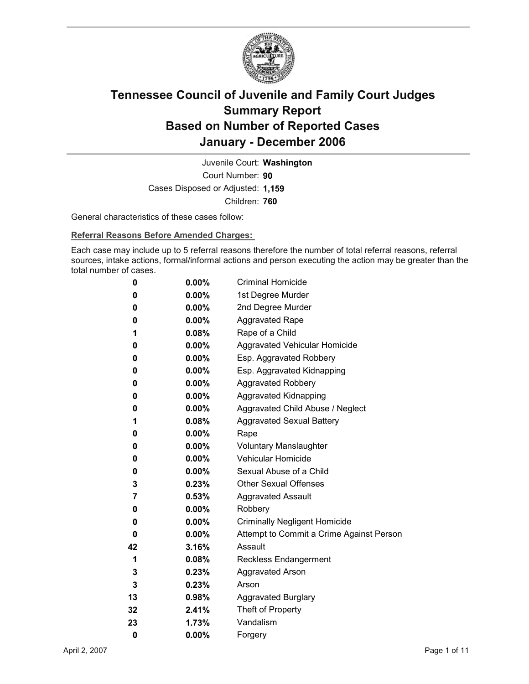

Court Number: **90** Juvenile Court: **Washington** Cases Disposed or Adjusted: **1,159** Children: **760**

General characteristics of these cases follow:

**Referral Reasons Before Amended Charges:** 

Each case may include up to 5 referral reasons therefore the number of total referral reasons, referral sources, intake actions, formal/informal actions and person executing the action may be greater than the total number of cases.

| 0  | $0.00\%$ | <b>Criminal Homicide</b>                 |
|----|----------|------------------------------------------|
| 0  | $0.00\%$ | 1st Degree Murder                        |
| 0  | $0.00\%$ | 2nd Degree Murder                        |
| 0  | $0.00\%$ | <b>Aggravated Rape</b>                   |
| 1  | 0.08%    | Rape of a Child                          |
| 0  | $0.00\%$ | Aggravated Vehicular Homicide            |
| 0  | $0.00\%$ | Esp. Aggravated Robbery                  |
| 0  | $0.00\%$ | Esp. Aggravated Kidnapping               |
| 0  | $0.00\%$ | <b>Aggravated Robbery</b>                |
| 0  | $0.00\%$ | <b>Aggravated Kidnapping</b>             |
| 0  | $0.00\%$ | Aggravated Child Abuse / Neglect         |
| 1  | $0.08\%$ | <b>Aggravated Sexual Battery</b>         |
| 0  | $0.00\%$ | Rape                                     |
| 0  | $0.00\%$ | <b>Voluntary Manslaughter</b>            |
| 0  | $0.00\%$ | <b>Vehicular Homicide</b>                |
| 0  | $0.00\%$ | Sexual Abuse of a Child                  |
| 3  | 0.23%    | <b>Other Sexual Offenses</b>             |
| 7  | $0.53\%$ | <b>Aggravated Assault</b>                |
| 0  | $0.00\%$ | Robbery                                  |
| 0  | $0.00\%$ | <b>Criminally Negligent Homicide</b>     |
| 0  | $0.00\%$ | Attempt to Commit a Crime Against Person |
| 42 | 3.16%    | Assault                                  |
| 1  | $0.08\%$ | <b>Reckless Endangerment</b>             |
| 3  | $0.23\%$ | <b>Aggravated Arson</b>                  |
| 3  | 0.23%    | Arson                                    |
| 13 | 0.98%    | <b>Aggravated Burglary</b>               |
| 32 | 2.41%    | Theft of Property                        |
| 23 | 1.73%    | Vandalism                                |
| 0  | 0.00%    | Forgery                                  |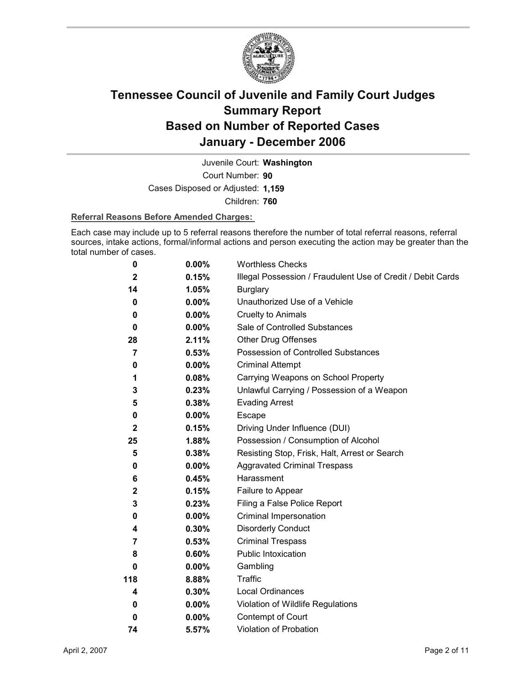

Court Number: **90** Juvenile Court: **Washington** Cases Disposed or Adjusted: **1,159**

Children: **760**

#### **Referral Reasons Before Amended Charges:**

Each case may include up to 5 referral reasons therefore the number of total referral reasons, referral sources, intake actions, formal/informal actions and person executing the action may be greater than the total number of cases.

| 0              | 0.00%    | <b>Worthless Checks</b>                                     |
|----------------|----------|-------------------------------------------------------------|
| $\mathbf{2}$   | 0.15%    | Illegal Possession / Fraudulent Use of Credit / Debit Cards |
| 14             | 1.05%    | <b>Burglary</b>                                             |
| 0              | $0.00\%$ | Unauthorized Use of a Vehicle                               |
| 0              | $0.00\%$ | <b>Cruelty to Animals</b>                                   |
| 0              | $0.00\%$ | Sale of Controlled Substances                               |
| 28             | 2.11%    | <b>Other Drug Offenses</b>                                  |
| 7              | 0.53%    | Possession of Controlled Substances                         |
| 0              | 0.00%    | <b>Criminal Attempt</b>                                     |
| 1              | 0.08%    | Carrying Weapons on School Property                         |
| 3              | 0.23%    | Unlawful Carrying / Possession of a Weapon                  |
| 5              | 0.38%    | <b>Evading Arrest</b>                                       |
| 0              | 0.00%    | Escape                                                      |
| $\mathbf{2}$   | 0.15%    | Driving Under Influence (DUI)                               |
| 25             | 1.88%    | Possession / Consumption of Alcohol                         |
| 5              | 0.38%    | Resisting Stop, Frisk, Halt, Arrest or Search               |
| 0              | $0.00\%$ | <b>Aggravated Criminal Trespass</b>                         |
| 6              | 0.45%    | Harassment                                                  |
| $\mathbf{2}$   | 0.15%    | Failure to Appear                                           |
| 3              | 0.23%    | Filing a False Police Report                                |
| 0              | $0.00\%$ | Criminal Impersonation                                      |
| 4              | $0.30\%$ | <b>Disorderly Conduct</b>                                   |
| $\overline{7}$ | 0.53%    | <b>Criminal Trespass</b>                                    |
| 8              | $0.60\%$ | <b>Public Intoxication</b>                                  |
| 0              | $0.00\%$ | Gambling                                                    |
| 118            | 8.88%    | <b>Traffic</b>                                              |
| 4              | $0.30\%$ | <b>Local Ordinances</b>                                     |
| 0              | $0.00\%$ | Violation of Wildlife Regulations                           |
| $\bf{0}$       | $0.00\%$ | Contempt of Court                                           |
| 74             | 5.57%    | Violation of Probation                                      |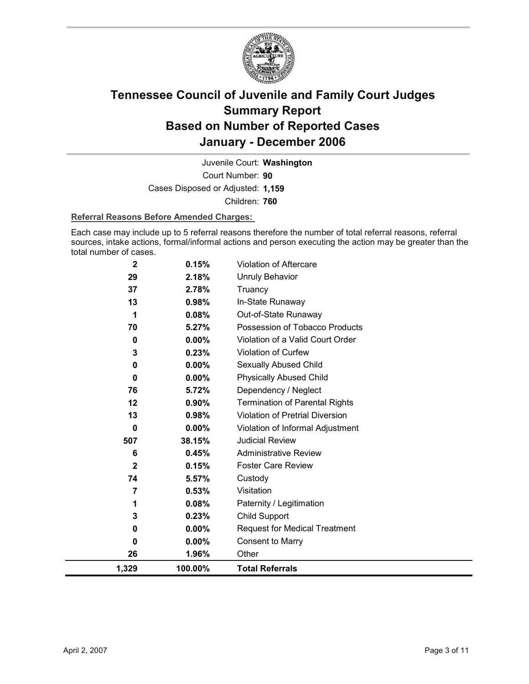

Court Number: **90** Juvenile Court: **Washington** Cases Disposed or Adjusted: **1,159** Children: **760**

#### **Referral Reasons Before Amended Charges:**

Each case may include up to 5 referral reasons therefore the number of total referral reasons, referral sources, intake actions, formal/informal actions and person executing the action may be greater than the total number of cases.

| 1,329        | 100.00%        | <b>Total Referrals</b>                 |
|--------------|----------------|----------------------------------------|
| 26           | 1.96%          | Other                                  |
| 0            | $0.00\%$       | <b>Consent to Marry</b>                |
| 0            | $0.00\%$       | <b>Request for Medical Treatment</b>   |
| 3            | 0.23%          | Child Support                          |
| 1            | 0.08%          | Paternity / Legitimation               |
| 7            | 0.53%          | Visitation                             |
| 74           | 5.57%          | Custody                                |
| $\mathbf{2}$ | 0.15%          | <b>Foster Care Review</b>              |
| 6            | 0.45%          | <b>Administrative Review</b>           |
| 507          | 38.15%         | <b>Judicial Review</b>                 |
| 0            | 0.00%          | Violation of Informal Adjustment       |
| 13           | 0.98%          | <b>Violation of Pretrial Diversion</b> |
| 12           | 0.90%          | <b>Termination of Parental Rights</b>  |
| 76           | 5.72%          | Dependency / Neglect                   |
| $\bf{0}$     | $0.00\%$       | <b>Physically Abused Child</b>         |
| 0            | 0.00%          | Sexually Abused Child                  |
| 3            | 0.23%          | Violation of Curfew                    |
| 0            | $0.00\%$       | Violation of a Valid Court Order       |
| 70           | 5.27%          | Possession of Tobacco Products         |
| 1            | 0.08%          | Out-of-State Runaway                   |
| 13           | 0.98%          | In-State Runaway                       |
| 29<br>37     | 2.18%<br>2.78% | <b>Unruly Behavior</b><br>Truancy      |
|              |                |                                        |
| $\mathbf 2$  | 0.15%          | Violation of Aftercare                 |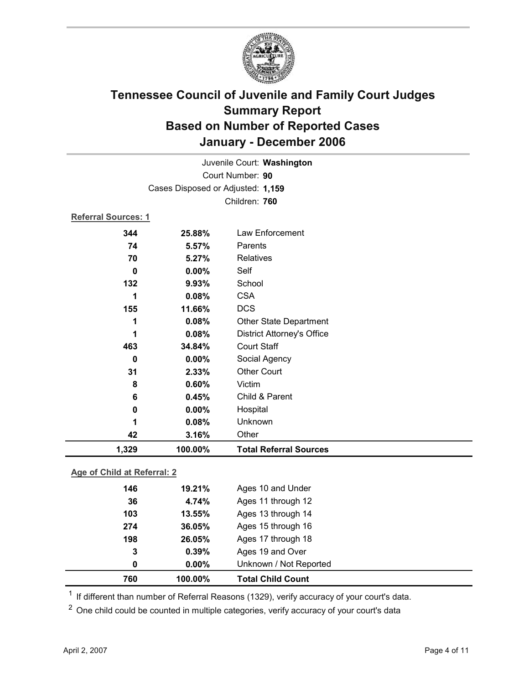

|                            |                                   | Juvenile Court: Washington        |
|----------------------------|-----------------------------------|-----------------------------------|
|                            |                                   | Court Number: 90                  |
|                            | Cases Disposed or Adjusted: 1,159 |                                   |
|                            |                                   | Children: 760                     |
| <b>Referral Sources: 1</b> |                                   |                                   |
| 344                        | 25.88%                            | Law Enforcement                   |
| 74                         | 5.57%                             | Parents                           |
| 70                         | 5.27%                             | Relatives                         |
| $\bf{0}$                   | 0.00%                             | Self                              |
| 132                        | 9.93%                             | School                            |
| 1                          | 0.08%                             | <b>CSA</b>                        |
| 155                        | 11.66%                            | <b>DCS</b>                        |
| 1                          | 0.08%                             | <b>Other State Department</b>     |
| 1                          | 0.08%                             | <b>District Attorney's Office</b> |
| 463                        | 34.84%                            | <b>Court Staff</b>                |
| $\bf{0}$                   | $0.00\%$                          | Social Agency                     |
| 31                         | 2.33%                             | <b>Other Court</b>                |
| 8                          | 0.60%                             | Victim                            |
| 6                          | 0.45%                             | Child & Parent                    |
| 0                          | 0.00%                             | Hospital                          |
| 1                          | 0.08%                             | Unknown                           |
| 42                         | 3.16%                             | Other                             |
| 1,329                      | 100.00%                           | <b>Total Referral Sources</b>     |

#### **Age of Child at Referral: 2**

| 0   | $0.00\%$ | Unknown / Not Reported |  |
|-----|----------|------------------------|--|
| 3   | 0.39%    | Ages 19 and Over       |  |
| 198 | 26.05%   | Ages 17 through 18     |  |
| 274 | 36.05%   | Ages 15 through 16     |  |
| 103 | 13.55%   | Ages 13 through 14     |  |
| 36  | 4.74%    | Ages 11 through 12     |  |
| 146 | 19.21%   | Ages 10 and Under      |  |
|     |          |                        |  |

 $1$  If different than number of Referral Reasons (1329), verify accuracy of your court's data.

<sup>2</sup> One child could be counted in multiple categories, verify accuracy of your court's data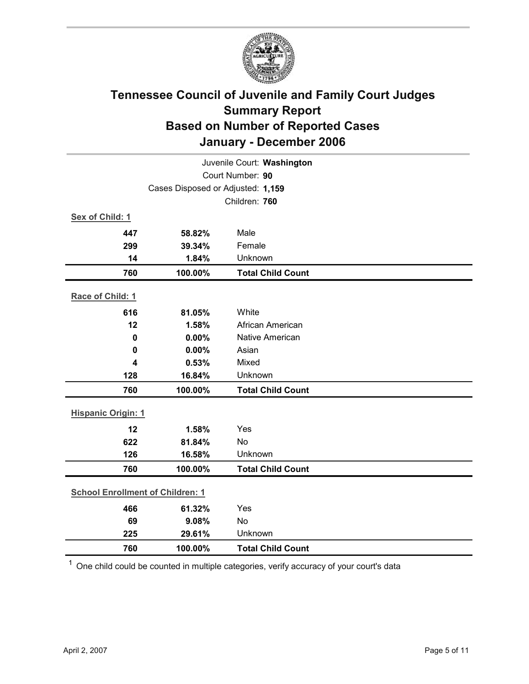

| Juvenile Court: Washington        |                                         |                          |  |  |
|-----------------------------------|-----------------------------------------|--------------------------|--|--|
| Court Number: 90                  |                                         |                          |  |  |
| Cases Disposed or Adjusted: 1,159 |                                         |                          |  |  |
|                                   |                                         | Children: 760            |  |  |
| Sex of Child: 1                   |                                         |                          |  |  |
| 447                               | 58.82%                                  | Male                     |  |  |
| 299                               | 39.34%                                  | Female                   |  |  |
| 14                                | 1.84%                                   | Unknown                  |  |  |
| 760                               | 100.00%                                 | <b>Total Child Count</b> |  |  |
| Race of Child: 1                  |                                         |                          |  |  |
| 616                               | 81.05%                                  | White                    |  |  |
| 12                                | 1.58%                                   | African American         |  |  |
| 0                                 | 0.00%                                   | <b>Native American</b>   |  |  |
| 0                                 | 0.00%                                   | Asian                    |  |  |
| 4                                 | 0.53%                                   | Mixed                    |  |  |
| 128                               | 16.84%                                  | Unknown                  |  |  |
| 760                               | 100.00%                                 | <b>Total Child Count</b> |  |  |
| <b>Hispanic Origin: 1</b>         |                                         |                          |  |  |
| 12                                | 1.58%                                   | Yes                      |  |  |
| 622                               | 81.84%                                  | <b>No</b>                |  |  |
| 126                               | 16.58%                                  | Unknown                  |  |  |
| 760                               | 100.00%                                 | <b>Total Child Count</b> |  |  |
|                                   | <b>School Enrollment of Children: 1</b> |                          |  |  |
| 466                               | 61.32%                                  | Yes                      |  |  |
| 69                                | 9.08%                                   | No                       |  |  |
| 225                               | 29.61%                                  | Unknown                  |  |  |
| 760                               | 100.00%                                 | <b>Total Child Count</b> |  |  |

 $1$  One child could be counted in multiple categories, verify accuracy of your court's data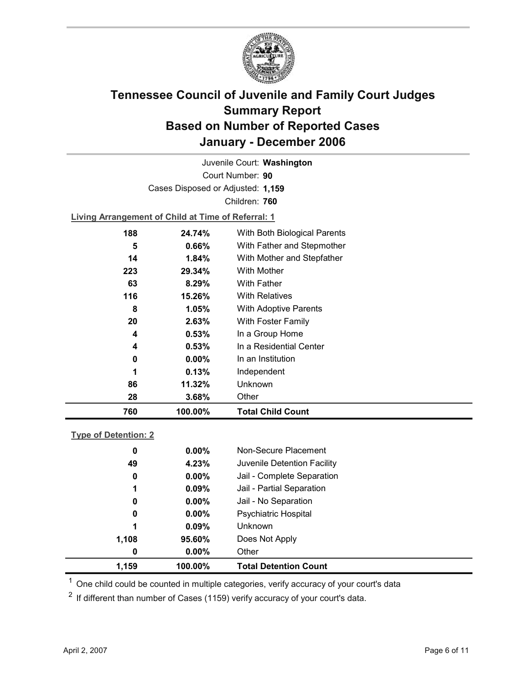

Court Number: **90** Juvenile Court: **Washington** Cases Disposed or Adjusted: **1,159** Children: **760**

**Living Arrangement of Child at Time of Referral: 1**

| 760 | 100.00%  | <b>Total Child Count</b>     |
|-----|----------|------------------------------|
| 28  | 3.68%    | Other                        |
| 86  | 11.32%   | Unknown                      |
| 1   | 0.13%    | Independent                  |
| 0   | $0.00\%$ | In an Institution            |
| 4   | 0.53%    | In a Residential Center      |
| 4   | 0.53%    | In a Group Home              |
| 20  | 2.63%    | With Foster Family           |
| 8   | 1.05%    | With Adoptive Parents        |
| 116 | 15.26%   | <b>With Relatives</b>        |
| 63  | 8.29%    | <b>With Father</b>           |
| 223 | 29.34%   | With Mother                  |
| 14  | $1.84\%$ | With Mother and Stepfather   |
| 5   | 0.66%    | With Father and Stepmother   |
| 188 | 24.74%   | With Both Biological Parents |
|     |          |                              |

#### **Type of Detention: 2**

| 1,159 |    | 100.00%  | <b>Total Detention Count</b> |
|-------|----|----------|------------------------------|
|       | 0  | $0.00\%$ | Other                        |
| 1,108 |    | 95.60%   | Does Not Apply               |
|       | 1  | 0.09%    | <b>Unknown</b>               |
|       | 0  | $0.00\%$ | <b>Psychiatric Hospital</b>  |
|       | 0  | $0.00\%$ | Jail - No Separation         |
|       | 1  | 0.09%    | Jail - Partial Separation    |
|       | 0  | $0.00\%$ | Jail - Complete Separation   |
|       | 49 | 4.23%    | Juvenile Detention Facility  |
|       | 0  | $0.00\%$ | Non-Secure Placement         |
|       |    |          |                              |

 $<sup>1</sup>$  One child could be counted in multiple categories, verify accuracy of your court's data</sup>

 $2$  If different than number of Cases (1159) verify accuracy of your court's data.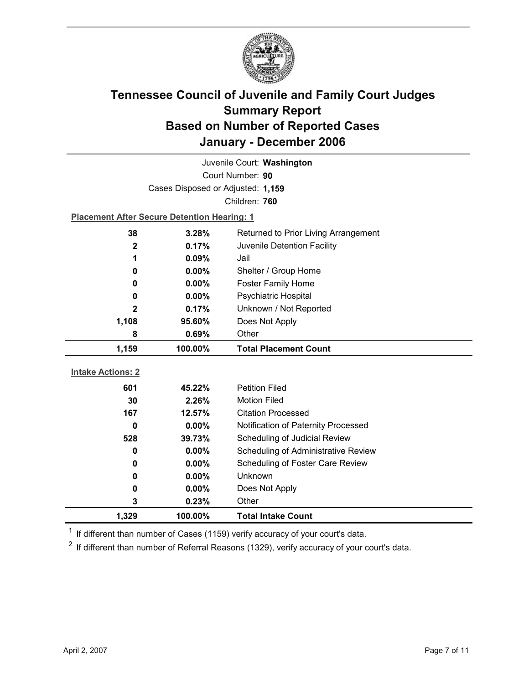

| Juvenile Court: Washington |                                                    |                                            |  |  |
|----------------------------|----------------------------------------------------|--------------------------------------------|--|--|
| Court Number: 90           |                                                    |                                            |  |  |
|                            | Cases Disposed or Adjusted: 1,159                  |                                            |  |  |
|                            |                                                    | Children: 760                              |  |  |
|                            | <b>Placement After Secure Detention Hearing: 1</b> |                                            |  |  |
| 38                         | 3.28%                                              | Returned to Prior Living Arrangement       |  |  |
| 2                          | 0.17%                                              | Juvenile Detention Facility                |  |  |
| 1                          | 0.09%                                              | Jail                                       |  |  |
| 0                          | 0.00%                                              | Shelter / Group Home                       |  |  |
| 0                          | $0.00\%$                                           | <b>Foster Family Home</b>                  |  |  |
| 0                          | Psychiatric Hospital<br>0.00%                      |                                            |  |  |
| 2                          | Unknown / Not Reported<br>0.17%                    |                                            |  |  |
| 1,108                      | 95.60%                                             | Does Not Apply                             |  |  |
| 8                          | 0.69%                                              | Other                                      |  |  |
|                            |                                                    |                                            |  |  |
| 1,159                      | 100.00%                                            | <b>Total Placement Count</b>               |  |  |
|                            |                                                    |                                            |  |  |
| <b>Intake Actions: 2</b>   |                                                    |                                            |  |  |
| 601                        | 45.22%                                             | <b>Petition Filed</b>                      |  |  |
| 30                         | 2.26%                                              | <b>Motion Filed</b>                        |  |  |
| 167                        | 12.57%                                             | <b>Citation Processed</b>                  |  |  |
| 0                          | 0.00%                                              | Notification of Paternity Processed        |  |  |
| 528                        | 39.73%                                             | Scheduling of Judicial Review              |  |  |
| 0                          | $0.00\%$                                           | <b>Scheduling of Administrative Review</b> |  |  |
| 0                          | 0.00%                                              | Scheduling of Foster Care Review           |  |  |
| 0                          | 0.00%                                              | Unknown                                    |  |  |
| 0                          | 0.00%                                              | Does Not Apply                             |  |  |
| 3<br>1,329                 | 0.23%<br>100.00%                                   | Other<br><b>Total Intake Count</b>         |  |  |

 $1$  If different than number of Cases (1159) verify accuracy of your court's data.

 $2$  If different than number of Referral Reasons (1329), verify accuracy of your court's data.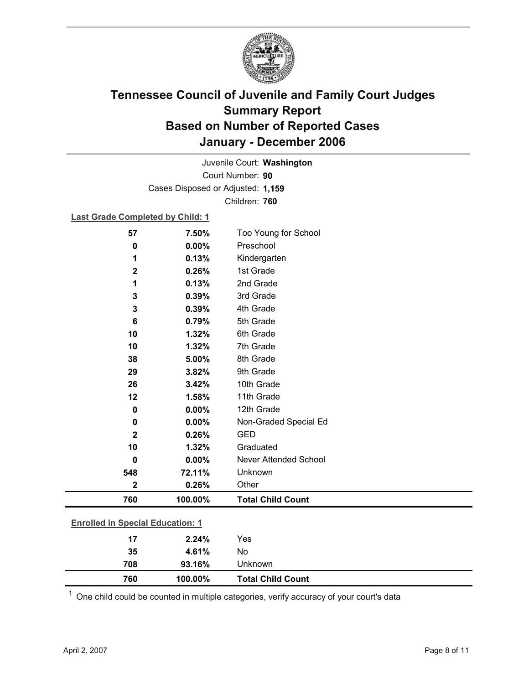

Court Number: **90** Juvenile Court: **Washington** Cases Disposed or Adjusted: **1,159** Children: **760**

**Last Grade Completed by Child: 1**

| 57                                      | 7.50%   | Too Young for School         |
|-----------------------------------------|---------|------------------------------|
| 0                                       | 0.00%   | Preschool                    |
| 1                                       | 0.13%   | Kindergarten                 |
| $\mathbf 2$                             | 0.26%   | 1st Grade                    |
| 1                                       | 0.13%   | 2nd Grade                    |
| 3                                       | 0.39%   | 3rd Grade                    |
| 3                                       | 0.39%   | 4th Grade                    |
| 6                                       | 0.79%   | 5th Grade                    |
| 10                                      | 1.32%   | 6th Grade                    |
| 10                                      | 1.32%   | 7th Grade                    |
| 38                                      | 5.00%   | 8th Grade                    |
| 29                                      | 3.82%   | 9th Grade                    |
| 26                                      | 3.42%   | 10th Grade                   |
| 12                                      | 1.58%   | 11th Grade                   |
| $\mathbf 0$                             | 0.00%   | 12th Grade                   |
| $\mathbf 0$                             | 0.00%   | Non-Graded Special Ed        |
| $\mathbf{2}$                            | 0.26%   | <b>GED</b>                   |
| 10                                      | 1.32%   | Graduated                    |
| $\mathbf 0$                             | 0.00%   | <b>Never Attended School</b> |
| 548                                     | 72.11%  | Unknown                      |
| $\mathbf 2$                             | 0.26%   | Other                        |
| 760                                     | 100.00% | <b>Total Child Count</b>     |
|                                         |         |                              |
| <b>Enrolled in Special Education: 1</b> |         |                              |
| 17                                      | 2.24%   | Yes                          |
| 35                                      | 4.61%   | No                           |

 $1$  One child could be counted in multiple categories, verify accuracy of your court's data

**708 93.16%** Unknown

**760 100.00% Total Child Count**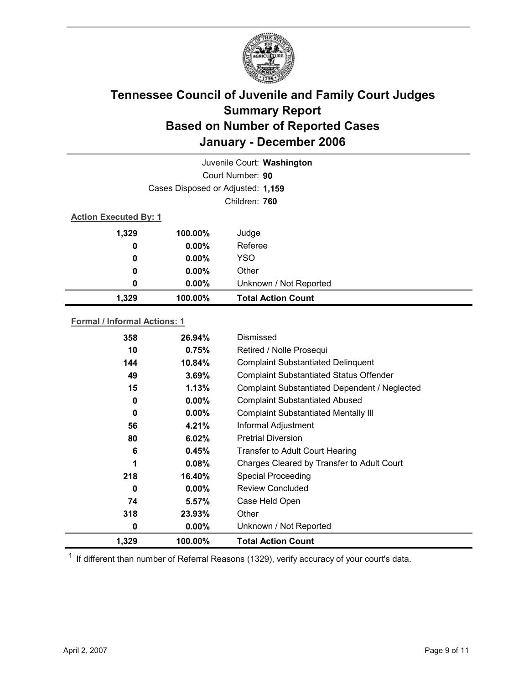

|                                     |               | Juvenile Court: Washington        |  |
|-------------------------------------|---------------|-----------------------------------|--|
|                                     |               | Court Number: 90                  |  |
|                                     |               | Cases Disposed or Adjusted: 1,159 |  |
|                                     | Children: 760 |                                   |  |
| <b>Action Executed By: 1</b>        |               |                                   |  |
| 1,329                               | 100.00%       | Judge                             |  |
| 0                                   | $0.00\%$      | Referee                           |  |
| 0                                   | $0.00\%$      | <b>YSO</b>                        |  |
| 0                                   | $0.00\%$      | Other                             |  |
| 0                                   | $0.00\%$      | Unknown / Not Reported            |  |
| 1,329                               | 100.00%       | <b>Total Action Count</b>         |  |
| <b>Formal / Informal Actions: 1</b> |               |                                   |  |

#### **358 26.94%** Dismissed **10 0.75%** Retired / Nolle Prosequi **144 10.84%** Complaint Substantiated Delinquent **49 3.69%** Complaint Substantiated Status Offender **15 1.13%** Complaint Substantiated Dependent / Neglected **0 0.00%** Complaint Substantiated Abused **56 4.21%** Informal Adjustment

| 1,329 | $100.00\%$ | <b>Total Action Count</b>                   |
|-------|------------|---------------------------------------------|
| 0     | $0.00\%$   | Unknown / Not Reported                      |
| 318   | 23.93%     | Other                                       |
| 74    | 5.57%      | Case Held Open                              |
| 0     | $0.00\%$   | <b>Review Concluded</b>                     |
| 218   | 16.40%     | <b>Special Proceeding</b>                   |
| 1     | 0.08%      | Charges Cleared by Transfer to Adult Court  |
| 6     | 0.45%      | Transfer to Adult Court Hearing             |
| 80    | 6.02%      | <b>Pretrial Diversion</b>                   |
| 56    | 4.21%      | Informal Adjustment                         |
| 0     | $0.00\%$   | <b>Complaint Substantiated Mentally III</b> |

 $1$  If different than number of Referral Reasons (1329), verify accuracy of your court's data.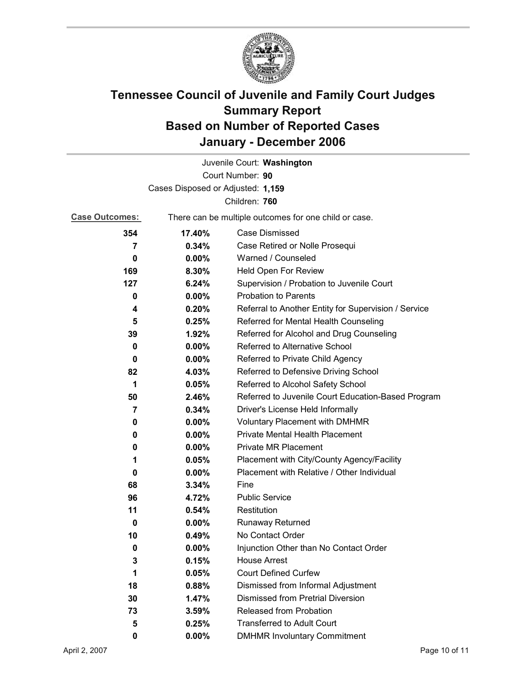

|                                   |          | Juvenile Court: Washington                            |
|-----------------------------------|----------|-------------------------------------------------------|
|                                   |          | Court Number: 90                                      |
| Cases Disposed or Adjusted: 1,159 |          |                                                       |
|                                   |          | Children: 760                                         |
| <b>Case Outcomes:</b>             |          | There can be multiple outcomes for one child or case. |
| 354                               | 17.40%   | <b>Case Dismissed</b>                                 |
| $\overline{7}$                    | 0.34%    | Case Retired or Nolle Prosequi                        |
| 0                                 | $0.00\%$ | Warned / Counseled                                    |
| 169                               | 8.30%    | Held Open For Review                                  |
| 127                               | 6.24%    | Supervision / Probation to Juvenile Court             |
| 0                                 | $0.00\%$ | <b>Probation to Parents</b>                           |
| 4                                 | 0.20%    | Referral to Another Entity for Supervision / Service  |
| 5                                 | 0.25%    | Referred for Mental Health Counseling                 |
| 39                                | 1.92%    | Referred for Alcohol and Drug Counseling              |
| 0                                 | $0.00\%$ | Referred to Alternative School                        |
| 0                                 | $0.00\%$ | Referred to Private Child Agency                      |
| 82                                | 4.03%    | Referred to Defensive Driving School                  |
| 1                                 | 0.05%    | Referred to Alcohol Safety School                     |
| 50                                | 2.46%    | Referred to Juvenile Court Education-Based Program    |
| $\overline{7}$                    | 0.34%    | Driver's License Held Informally                      |
| 0                                 | $0.00\%$ | <b>Voluntary Placement with DMHMR</b>                 |
| 0                                 | 0.00%    | <b>Private Mental Health Placement</b>                |
| 0                                 | $0.00\%$ | <b>Private MR Placement</b>                           |
| 1                                 | 0.05%    | Placement with City/County Agency/Facility            |
| 0                                 | $0.00\%$ | Placement with Relative / Other Individual            |
| 68                                | 3.34%    | Fine                                                  |
| 96                                | 4.72%    | <b>Public Service</b>                                 |
| 11                                | 0.54%    | Restitution                                           |
| 0                                 | 0.00%    | <b>Runaway Returned</b>                               |
| 10                                | 0.49%    | No Contact Order                                      |
| 0                                 | 0.00%    | Injunction Other than No Contact Order                |
| 3                                 | 0.15%    | <b>House Arrest</b>                                   |
| 1                                 | 0.05%    | <b>Court Defined Curfew</b>                           |
| 18                                | 0.88%    | Dismissed from Informal Adjustment                    |
| 30                                | 1.47%    | <b>Dismissed from Pretrial Diversion</b>              |
| 73                                | 3.59%    | <b>Released from Probation</b>                        |
| 5                                 | 0.25%    | <b>Transferred to Adult Court</b>                     |
| 0                                 | $0.00\%$ | <b>DMHMR Involuntary Commitment</b>                   |